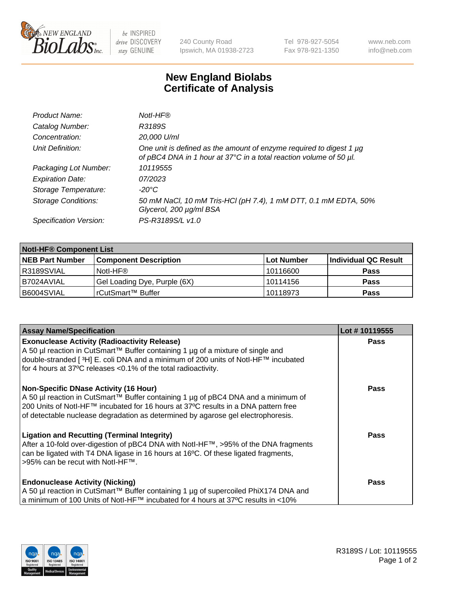

 $be$  INSPIRED drive DISCOVERY stay GENUINE

240 County Road Ipswich, MA 01938-2723 Tel 978-927-5054 Fax 978-921-1350 www.neb.com info@neb.com

## **New England Biolabs Certificate of Analysis**

| Product Name:              | Notl-HF®                                                                                                                                  |
|----------------------------|-------------------------------------------------------------------------------------------------------------------------------------------|
| Catalog Number:            | R3189S                                                                                                                                    |
| Concentration:             | 20,000 U/ml                                                                                                                               |
| Unit Definition:           | One unit is defined as the amount of enzyme required to digest 1 µg<br>of pBC4 DNA in 1 hour at 37°C in a total reaction volume of 50 µl. |
| Packaging Lot Number:      | 10119555                                                                                                                                  |
| <b>Expiration Date:</b>    | 07/2023                                                                                                                                   |
| Storage Temperature:       | $-20^{\circ}$ C                                                                                                                           |
| <b>Storage Conditions:</b> | 50 mM NaCl, 10 mM Tris-HCl (pH 7.4), 1 mM DTT, 0.1 mM EDTA, 50%<br>Glycerol, 200 µg/ml BSA                                                |
| Specification Version:     | PS-R3189S/L v1.0                                                                                                                          |

| <b>Notl-HF® Component List</b> |                              |            |                      |  |  |
|--------------------------------|------------------------------|------------|----------------------|--|--|
| <b>NEB Part Number</b>         | <b>Component Description</b> | Lot Number | Individual QC Result |  |  |
| R3189SVIAL                     | Notl-HF®                     | 10116600   | <b>Pass</b>          |  |  |
| I B7024AVIAL                   | Gel Loading Dye, Purple (6X) | 10114156   | <b>Pass</b>          |  |  |
| B6004SVIAL                     | l rCutSmart™ Buffer          | 10118973   | <b>Pass</b>          |  |  |

| <b>Assay Name/Specification</b>                                                                                                                                                     | Lot #10119555 |
|-------------------------------------------------------------------------------------------------------------------------------------------------------------------------------------|---------------|
| <b>Exonuclease Activity (Radioactivity Release)</b>                                                                                                                                 | <b>Pass</b>   |
| A 50 µl reaction in CutSmart™ Buffer containing 1 µg of a mixture of single and<br>double-stranded [ <sup>3</sup> H] E. coli DNA and a minimum of 200 units of Notl-HF™ incubated   |               |
| for 4 hours at 37°C releases <0.1% of the total radioactivity.                                                                                                                      |               |
| <b>Non-Specific DNase Activity (16 Hour)</b>                                                                                                                                        | Pass          |
| A 50 µl reaction in CutSmart™ Buffer containing 1 µg of pBC4 DNA and a minimum of<br>200 Units of Notl-HF™ incubated for 16 hours at 37°C results in a DNA pattern free             |               |
| of detectable nuclease degradation as determined by agarose gel electrophoresis.                                                                                                    |               |
| <b>Ligation and Recutting (Terminal Integrity)</b>                                                                                                                                  | Pass          |
| After a 10-fold over-digestion of pBC4 DNA with Notl-HF™, >95% of the DNA fragments<br>can be ligated with T4 DNA ligase in 16 hours at 16 $\degree$ C. Of these ligated fragments, |               |
| 1>95% can be recut with NotI-HF™.                                                                                                                                                   |               |
| <b>Endonuclease Activity (Nicking)</b>                                                                                                                                              | <b>Pass</b>   |
| A 50 µl reaction in CutSmart™ Buffer containing 1 µg of supercoiled PhiX174 DNA and                                                                                                 |               |
| a minimum of 100 Units of Notl-HF™ incubated for 4 hours at 37°C results in <10%                                                                                                    |               |